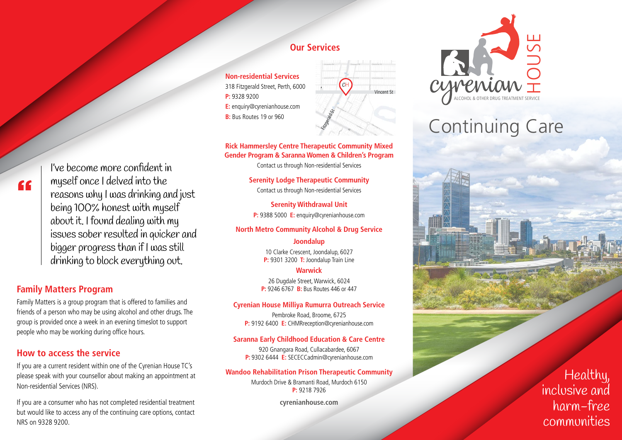# "

I've become more confident in myself once I delved into the reasons why I was drinking and just being 100% honest with myself about it. I found dealing with my issues sober resulted in quicker and bigger progress than if I was still drinking to block everything out.

#### **Family Matters Program**

Family Matters is a group program that is offered to families and friends of a person who may be using alcohol and other drugs. The group is provided once a week in an evening timeslot to support people who may be working during office hours.

#### **How to access the service**

If you are a current resident within one of the Cyrenian House TC's please speak with your counsellor about making an appointment at Non-residential Services (NRS).

If you are a consumer who has not completed residential treatment but would like to access any of the continuing care options, contact NRS on 9328 9200.

### **Our Services**

**Non-residential Services** 318 Fitzgerald Street, Perth, 6000 **P:** 9328 9200 **E:** enquiry@cyrenianhouse.com **B:** Bus Routes 19 or 960



#### **Rick Hammersley Centre Therapeutic Community Mixed Gender Program & Saranna Women & Children's Program**

Contact us through Non-residential Services

**Serenity Lodge Therapeutic Community** Contact us through Non-residential Services

**Serenity Withdrawal Unit P:** 9388 5000 **E:** enquiry@cyrenianhouse.com

#### **North Metro Community Alcohol & Drug Service**

#### **Joondalup**

10 Clarke Crescent, Joondalup, 6027 **P:** 9301 3200 **T:** Joondalup Train Line

#### **Warwick**

26 Dugdale Street, Warwick, 6024 **P:** 9246 6767 **B:** Bus Routes 446 or 447

#### **Cyrenian House Milliya Rumurra Outreach Service**

Pembroke Road, Broome, 6725 **P:** 9192 6400 **E:** CHMRreception@cyrenianhouse.com

#### **Saranna Early Childhood Education & Care Centre**

920 Gnangara Road, Cullacabardee, 6067 **P:** 9302 6444 **E:** SECECCadmin@cyrenianhouse.com

#### **Wandoo Rehabilitation Prison Therapeutic Community**

Murdoch Drive & Bramanti Road, Murdoch 6150 **P:** 9218 7926

**cyrenianhouse.com**



# Continuing Care



Healthy, inclusive and harm-free communities